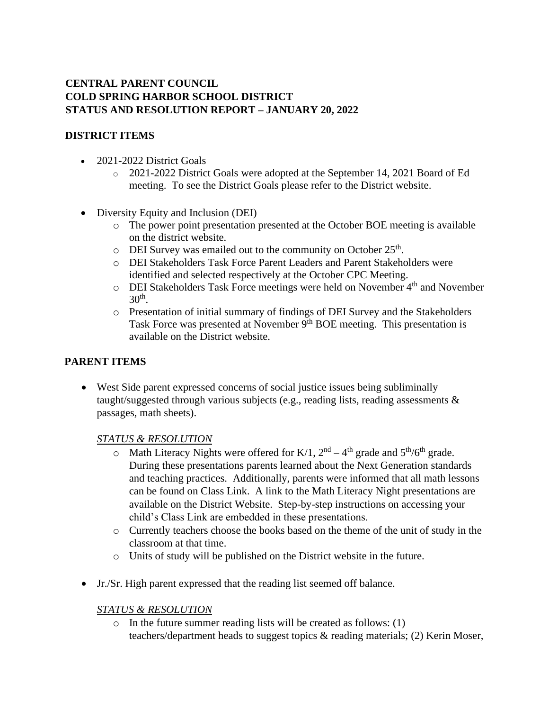# **CENTRAL PARENT COUNCIL COLD SPRING HARBOR SCHOOL DISTRICT STATUS AND RESOLUTION REPORT – JANUARY 20, 2022**

## **DISTRICT ITEMS**

- 2021-2022 District Goals
	- o 2021-2022 District Goals were adopted at the September 14, 2021 Board of Ed meeting. To see the District Goals please refer to the District website.
- Diversity Equity and Inclusion (DEI)
	- o The power point presentation presented at the October BOE meeting is available on the district website.
	- $\circ$  DEI Survey was emailed out to the community on October 25<sup>th</sup>.
	- o DEI Stakeholders Task Force Parent Leaders and Parent Stakeholders were identified and selected respectively at the October CPC Meeting.
	- o DEI Stakeholders Task Force meetings were held on November 4th and November  $30<sup>th</sup>$ .
	- o Presentation of initial summary of findings of DEI Survey and the Stakeholders Task Force was presented at November 9<sup>th</sup> BOE meeting. This presentation is available on the District website.

### **PARENT ITEMS**

• West Side parent expressed concerns of social justice issues being subliminally taught/suggested through various subjects (e.g., reading lists, reading assessments & passages, math sheets).

#### *STATUS & RESOLUTION*

- $\circ$  Math Literacy Nights were offered for K/1,  $2<sup>nd</sup> 4<sup>th</sup>$  grade and  $5<sup>th</sup>/6<sup>th</sup>$  grade. During these presentations parents learned about the Next Generation standards and teaching practices. Additionally, parents were informed that all math lessons can be found on Class Link. A link to the Math Literacy Night presentations are available on the District Website. Step-by-step instructions on accessing your child's Class Link are embedded in these presentations.
- o Currently teachers choose the books based on the theme of the unit of study in the classroom at that time.
- o Units of study will be published on the District website in the future.
- Jr./Sr. High parent expressed that the reading list seemed off balance.

#### *STATUS & RESOLUTION*

o In the future summer reading lists will be created as follows: (1) teachers/department heads to suggest topics & reading materials; (2) Kerin Moser,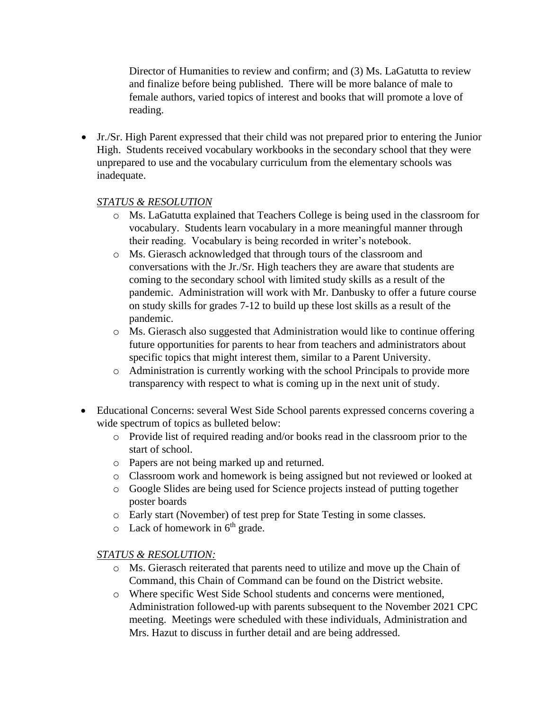Director of Humanities to review and confirm; and (3) Ms. LaGatutta to review and finalize before being published. There will be more balance of male to female authors, varied topics of interest and books that will promote a love of reading.

• Jr./Sr. High Parent expressed that their child was not prepared prior to entering the Junior High. Students received vocabulary workbooks in the secondary school that they were unprepared to use and the vocabulary curriculum from the elementary schools was inadequate.

#### *STATUS & RESOLUTION*

- o Ms. LaGatutta explained that Teachers College is being used in the classroom for vocabulary. Students learn vocabulary in a more meaningful manner through their reading. Vocabulary is being recorded in writer's notebook.
- o Ms. Gierasch acknowledged that through tours of the classroom and conversations with the Jr./Sr. High teachers they are aware that students are coming to the secondary school with limited study skills as a result of the pandemic. Administration will work with Mr. Danbusky to offer a future course on study skills for grades 7-12 to build up these lost skills as a result of the pandemic.
- o Ms. Gierasch also suggested that Administration would like to continue offering future opportunities for parents to hear from teachers and administrators about specific topics that might interest them, similar to a Parent University.
- o Administration is currently working with the school Principals to provide more transparency with respect to what is coming up in the next unit of study.
- Educational Concerns: several West Side School parents expressed concerns covering a wide spectrum of topics as bulleted below:
	- o Provide list of required reading and/or books read in the classroom prior to the start of school.
	- o Papers are not being marked up and returned.
	- o Classroom work and homework is being assigned but not reviewed or looked at
	- o Google Slides are being used for Science projects instead of putting together poster boards
	- o Early start (November) of test prep for State Testing in some classes.
	- $\circ$  Lack of homework in 6<sup>th</sup> grade.

#### *STATUS & RESOLUTION:*

- o Ms. Gierasch reiterated that parents need to utilize and move up the Chain of Command, this Chain of Command can be found on the District website.
- o Where specific West Side School students and concerns were mentioned, Administration followed-up with parents subsequent to the November 2021 CPC meeting. Meetings were scheduled with these individuals, Administration and Mrs. Hazut to discuss in further detail and are being addressed.